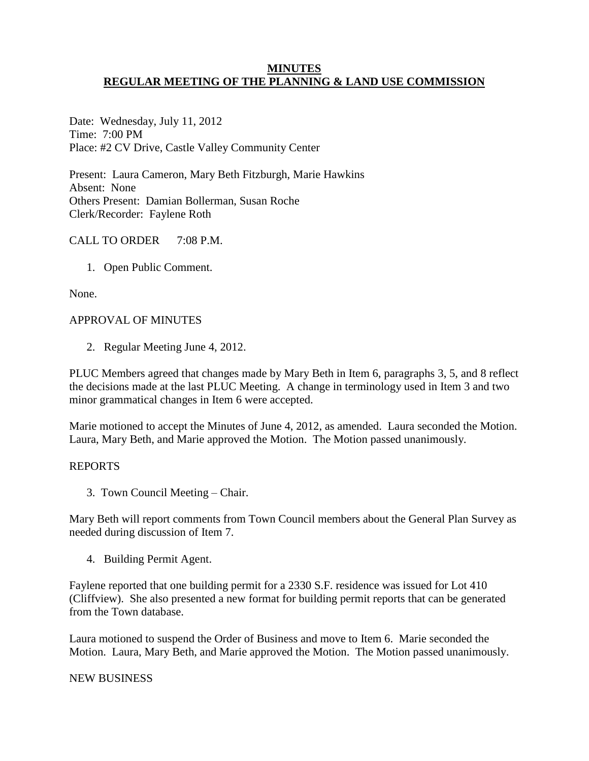## **MINUTES REGULAR MEETING OF THE PLANNING & LAND USE COMMISSION**

Date: Wednesday, July 11, 2012 Time: 7:00 PM Place: #2 CV Drive, Castle Valley Community Center

Present: Laura Cameron, Mary Beth Fitzburgh, Marie Hawkins Absent: None Others Present: Damian Bollerman, Susan Roche Clerk/Recorder: Faylene Roth

# CALL TO ORDER 7:08 P.M.

1. Open Public Comment.

None.

## APPROVAL OF MINUTES

2. Regular Meeting June 4, 2012.

PLUC Members agreed that changes made by Mary Beth in Item 6, paragraphs 3, 5, and 8 reflect the decisions made at the last PLUC Meeting. A change in terminology used in Item 3 and two minor grammatical changes in Item 6 were accepted.

Marie motioned to accept the Minutes of June 4, 2012, as amended. Laura seconded the Motion. Laura, Mary Beth, and Marie approved the Motion. The Motion passed unanimously.

## REPORTS

3. Town Council Meeting – Chair.

Mary Beth will report comments from Town Council members about the General Plan Survey as needed during discussion of Item 7.

4. Building Permit Agent.

Faylene reported that one building permit for a 2330 S.F. residence was issued for Lot 410 (Cliffview). She also presented a new format for building permit reports that can be generated from the Town database.

Laura motioned to suspend the Order of Business and move to Item 6. Marie seconded the Motion. Laura, Mary Beth, and Marie approved the Motion. The Motion passed unanimously.

## NEW BUSINESS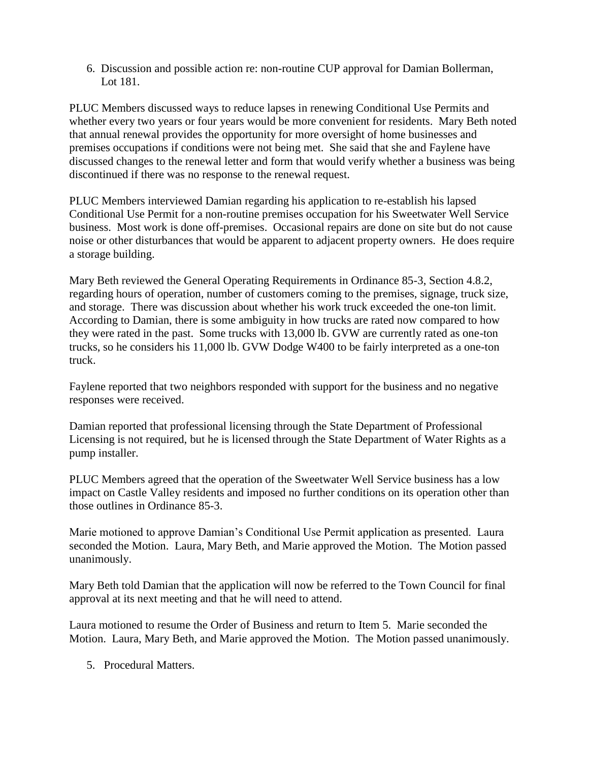6. Discussion and possible action re: non-routine CUP approval for Damian Bollerman, Lot 181.

PLUC Members discussed ways to reduce lapses in renewing Conditional Use Permits and whether every two years or four years would be more convenient for residents. Mary Beth noted that annual renewal provides the opportunity for more oversight of home businesses and premises occupations if conditions were not being met. She said that she and Faylene have discussed changes to the renewal letter and form that would verify whether a business was being discontinued if there was no response to the renewal request.

PLUC Members interviewed Damian regarding his application to re-establish his lapsed Conditional Use Permit for a non-routine premises occupation for his Sweetwater Well Service business. Most work is done off-premises. Occasional repairs are done on site but do not cause noise or other disturbances that would be apparent to adjacent property owners. He does require a storage building.

Mary Beth reviewed the General Operating Requirements in Ordinance 85-3, Section 4.8.2, regarding hours of operation, number of customers coming to the premises, signage, truck size, and storage. There was discussion about whether his work truck exceeded the one-ton limit. According to Damian, there is some ambiguity in how trucks are rated now compared to how they were rated in the past. Some trucks with 13,000 lb. GVW are currently rated as one-ton trucks, so he considers his 11,000 lb. GVW Dodge W400 to be fairly interpreted as a one-ton truck.

Faylene reported that two neighbors responded with support for the business and no negative responses were received.

Damian reported that professional licensing through the State Department of Professional Licensing is not required, but he is licensed through the State Department of Water Rights as a pump installer.

PLUC Members agreed that the operation of the Sweetwater Well Service business has a low impact on Castle Valley residents and imposed no further conditions on its operation other than those outlines in Ordinance 85-3.

Marie motioned to approve Damian's Conditional Use Permit application as presented. Laura seconded the Motion. Laura, Mary Beth, and Marie approved the Motion. The Motion passed unanimously.

Mary Beth told Damian that the application will now be referred to the Town Council for final approval at its next meeting and that he will need to attend.

Laura motioned to resume the Order of Business and return to Item 5. Marie seconded the Motion. Laura, Mary Beth, and Marie approved the Motion. The Motion passed unanimously.

5. Procedural Matters.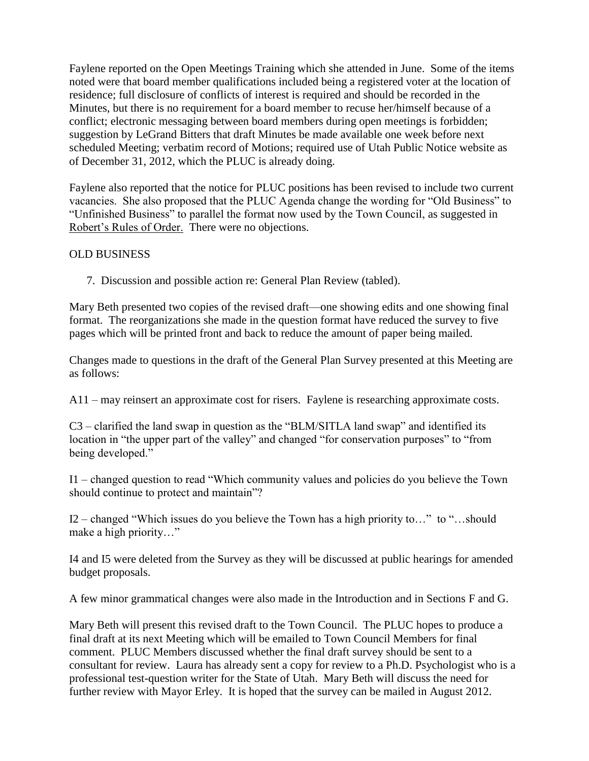Faylene reported on the Open Meetings Training which she attended in June. Some of the items noted were that board member qualifications included being a registered voter at the location of residence; full disclosure of conflicts of interest is required and should be recorded in the Minutes, but there is no requirement for a board member to recuse her/himself because of a conflict; electronic messaging between board members during open meetings is forbidden; suggestion by LeGrand Bitters that draft Minutes be made available one week before next scheduled Meeting; verbatim record of Motions; required use of Utah Public Notice website as of December 31, 2012, which the PLUC is already doing.

Faylene also reported that the notice for PLUC positions has been revised to include two current vacancies. She also proposed that the PLUC Agenda change the wording for "Old Business" to "Unfinished Business" to parallel the format now used by the Town Council, as suggested in Robert's Rules of Order. There were no objections.

## OLD BUSINESS

7. Discussion and possible action re: General Plan Review (tabled).

Mary Beth presented two copies of the revised draft—one showing edits and one showing final format. The reorganizations she made in the question format have reduced the survey to five pages which will be printed front and back to reduce the amount of paper being mailed.

Changes made to questions in the draft of the General Plan Survey presented at this Meeting are as follows:

A11 – may reinsert an approximate cost for risers. Faylene is researching approximate costs.

C3 – clarified the land swap in question as the "BLM/SITLA land swap" and identified its location in "the upper part of the valley" and changed "for conservation purposes" to "from being developed."

I1 – changed question to read "Which community values and policies do you believe the Town should continue to protect and maintain"?

I2 – changed "Which issues do you believe the Town has a high priority to…" to "…should make a high priority…"

I4 and I5 were deleted from the Survey as they will be discussed at public hearings for amended budget proposals.

A few minor grammatical changes were also made in the Introduction and in Sections F and G.

Mary Beth will present this revised draft to the Town Council. The PLUC hopes to produce a final draft at its next Meeting which will be emailed to Town Council Members for final comment. PLUC Members discussed whether the final draft survey should be sent to a consultant for review. Laura has already sent a copy for review to a Ph.D. Psychologist who is a professional test-question writer for the State of Utah. Mary Beth will discuss the need for further review with Mayor Erley. It is hoped that the survey can be mailed in August 2012.